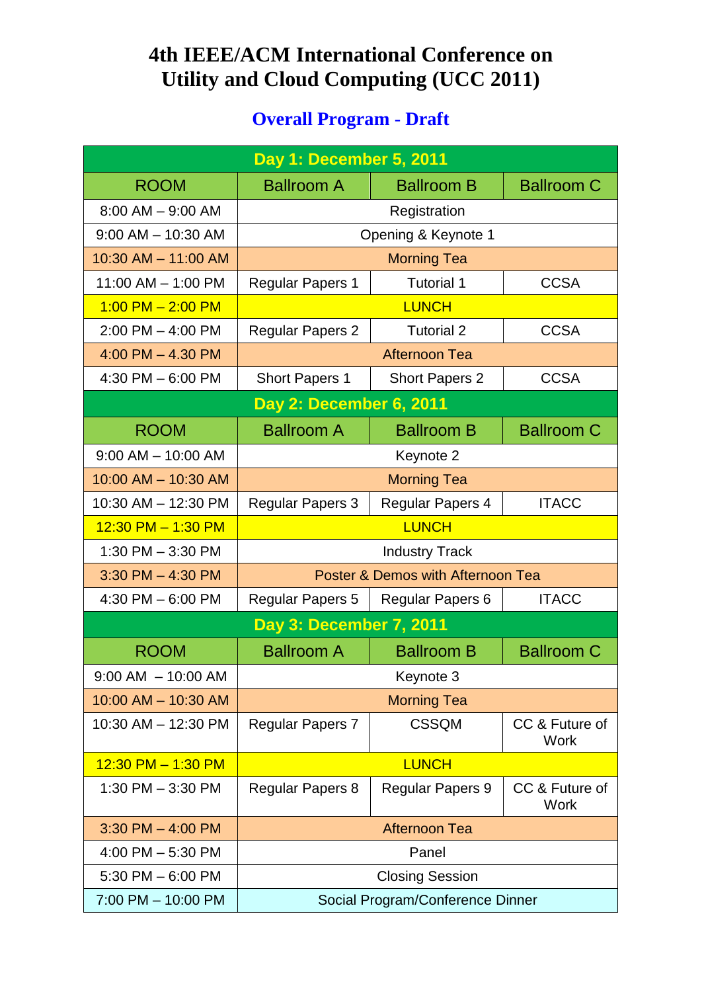## **4th IEEE/ACM International Conference on Utility and Cloud Computing (UCC 2011)**

## **Overall Program - Draft**

| Day 1: December 5, 2011        |                                   |                                  |                               |
|--------------------------------|-----------------------------------|----------------------------------|-------------------------------|
| <b>ROOM</b>                    | <b>Ballroom A</b>                 | <b>Ballroom B</b>                | <b>Ballroom C</b>             |
| $8:00$ AM $-$ 9:00 AM          |                                   | Registration                     |                               |
| $9:00$ AM $-$ 10:30 AM         |                                   | Opening & Keynote 1              |                               |
| 10:30 AM - 11:00 AM            |                                   | <b>Morning Tea</b>               |                               |
| 11:00 AM - 1:00 PM             | <b>Regular Papers 1</b>           | <b>Tutorial 1</b>                | <b>CCSA</b>                   |
| $1:00$ PM $- 2:00$ PM          |                                   | <b>LUNCH</b>                     |                               |
| $2:00$ PM $-$ 4:00 PM          | <b>Regular Papers 2</b>           | <b>Tutorial 2</b>                | <b>CCSA</b>                   |
| $4:00$ PM $- 4.30$ PM          |                                   | <b>Afternoon Tea</b>             |                               |
| 4:30 PM $-6:00$ PM             | <b>Short Papers 1</b>             | <b>Short Papers 2</b>            | <b>CCSA</b>                   |
|                                | <b>Day 2: December 6, 2011</b>    |                                  |                               |
| <b>ROOM</b>                    | <b>Ballroom A</b>                 | <b>Ballroom B</b>                | <b>Ballroom C</b>             |
| $9:00$ AM $-$ 10:00 AM         |                                   | Keynote 2                        |                               |
| 10:00 AM - 10:30 AM            |                                   | <b>Morning Tea</b>               |                               |
| 10:30 AM - 12:30 PM            | <b>Regular Papers 3</b>           | <b>Regular Papers 4</b>          | <b>ITACC</b>                  |
| $12:30$ PM $- 1:30$ PM         |                                   | <b>LUNCH</b>                     |                               |
| 1:30 PM - 3:30 PM              | <b>Industry Track</b>             |                                  |                               |
| $3:30$ PM $-$ 4:30 PM          | Poster & Demos with Afternoon Tea |                                  |                               |
| 4:30 PM $-6:00$ PM             | Regular Papers 5                  | <b>Regular Papers 6</b>          | <b>ITACC</b>                  |
| <b>Day 3: December 7, 2011</b> |                                   |                                  |                               |
| <b>ROOM</b>                    | <b>Ballroom A</b>                 | <b>Ballroom B</b>                | <b>Ballroom C</b>             |
| $9:00$ AM $-10:00$ AM          |                                   | Keynote 3                        |                               |
| 10:00 AM - 10:30 AM            |                                   | <b>Morning Tea</b>               |                               |
| 10:30 AM - 12:30 PM            | <b>Regular Papers 7</b>           | <b>CSSQM</b>                     | CC & Future of<br><b>Work</b> |
| $12:30$ PM $- 1:30$ PM         |                                   | <b>LUNCH</b>                     |                               |
| 1:30 PM $-$ 3:30 PM            | <b>Regular Papers 8</b>           | <b>Regular Papers 9</b>          | CC & Future of<br><b>Work</b> |
| $3:30$ PM $-$ 4:00 PM          |                                   | <b>Afternoon Tea</b>             |                               |
| 4:00 PM $-$ 5:30 PM            |                                   | Panel                            |                               |
| 5:30 PM $-$ 6:00 PM            |                                   | <b>Closing Session</b>           |                               |
| 7:00 PM - 10:00 PM             |                                   | Social Program/Conference Dinner |                               |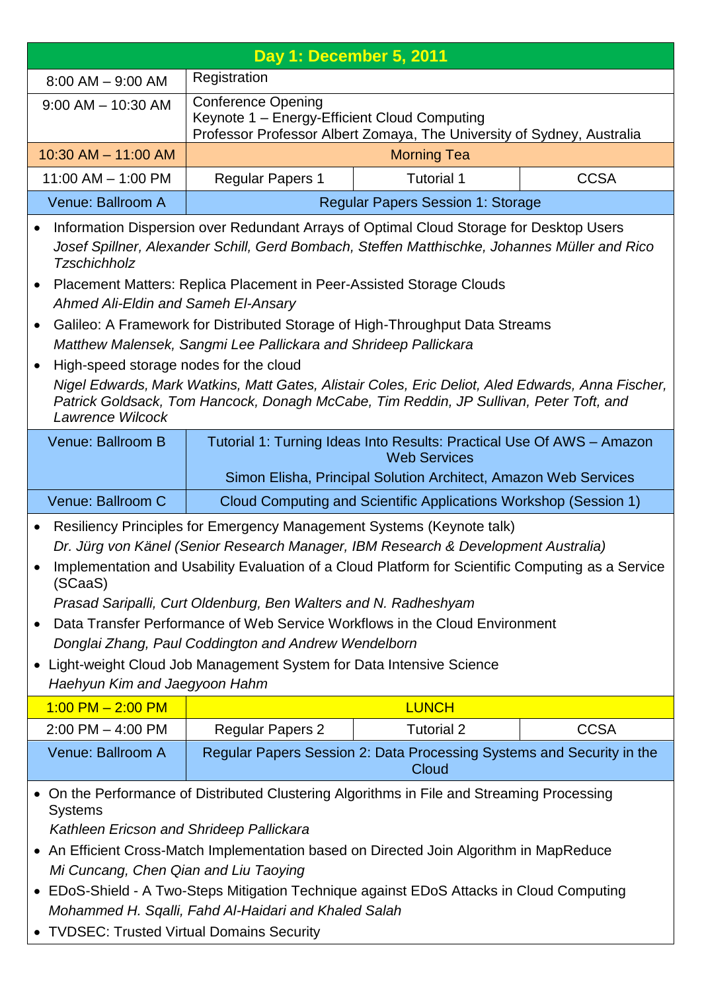| Day 1: December 5, 2011                                                                                                                                                                                                                                        |                                                                                                                                                                                          |                                                                                                                                     |             |
|----------------------------------------------------------------------------------------------------------------------------------------------------------------------------------------------------------------------------------------------------------------|------------------------------------------------------------------------------------------------------------------------------------------------------------------------------------------|-------------------------------------------------------------------------------------------------------------------------------------|-------------|
| $8:00$ AM $-$ 9:00 AM                                                                                                                                                                                                                                          | Registration                                                                                                                                                                             |                                                                                                                                     |             |
| $9:00$ AM $-$ 10:30 AM                                                                                                                                                                                                                                         | <b>Conference Opening</b><br>Keynote 1 - Energy-Efficient Cloud Computing<br>Professor Professor Albert Zomaya, The University of Sydney, Australia                                      |                                                                                                                                     |             |
| 10:30 AM - 11:00 AM                                                                                                                                                                                                                                            | <b>Morning Tea</b>                                                                                                                                                                       |                                                                                                                                     |             |
| $11:00$ AM $- 1:00$ PM                                                                                                                                                                                                                                         | <b>Regular Papers 1</b>                                                                                                                                                                  | <b>Tutorial 1</b>                                                                                                                   | <b>CCSA</b> |
| Venue: Ballroom A                                                                                                                                                                                                                                              |                                                                                                                                                                                          | <b>Regular Papers Session 1: Storage</b>                                                                                            |             |
| $\bullet$<br><b>Tzschichholz</b>                                                                                                                                                                                                                               | Information Dispersion over Redundant Arrays of Optimal Cloud Storage for Desktop Users<br>Josef Spillner, Alexander Schill, Gerd Bombach, Steffen Matthischke, Johannes Müller and Rico |                                                                                                                                     |             |
| $\bullet$                                                                                                                                                                                                                                                      | Placement Matters: Replica Placement in Peer-Assisted Storage Clouds                                                                                                                     |                                                                                                                                     |             |
| Ahmed Ali-Eldin and Sameh El-Ansary                                                                                                                                                                                                                            |                                                                                                                                                                                          |                                                                                                                                     |             |
|                                                                                                                                                                                                                                                                | Galileo: A Framework for Distributed Storage of High-Throughput Data Streams<br>Matthew Malensek, Sangmi Lee Pallickara and Shrideep Pallickara                                          |                                                                                                                                     |             |
| High-speed storage nodes for the cloud<br>٠<br>Nigel Edwards, Mark Watkins, Matt Gates, Alistair Coles, Eric Deliot, Aled Edwards, Anna Fischer,<br>Patrick Goldsack, Tom Hancock, Donagh McCabe, Tim Reddin, JP Sullivan, Peter Toft, and<br>Lawrence Wilcock |                                                                                                                                                                                          |                                                                                                                                     |             |
| Venue: Ballroom B                                                                                                                                                                                                                                              |                                                                                                                                                                                          | Tutorial 1: Turning Ideas Into Results: Practical Use Of AWS - Amazon                                                               |             |
|                                                                                                                                                                                                                                                                |                                                                                                                                                                                          | <b>Web Services</b>                                                                                                                 |             |
| Venue: Ballroom C                                                                                                                                                                                                                                              |                                                                                                                                                                                          | Simon Elisha, Principal Solution Architect, Amazon Web Services<br>Cloud Computing and Scientific Applications Workshop (Session 1) |             |
|                                                                                                                                                                                                                                                                |                                                                                                                                                                                          |                                                                                                                                     |             |
| $\bullet$                                                                                                                                                                                                                                                      | Resiliency Principles for Emergency Management Systems (Keynote talk)                                                                                                                    |                                                                                                                                     |             |
| ٠<br>(SCaaS)                                                                                                                                                                                                                                                   | Dr. Jürg von Känel (Senior Research Manager, IBM Research & Development Australia)<br>Implementation and Usability Evaluation of a Cloud Platform for Scientific Computing as a Service  |                                                                                                                                     |             |
|                                                                                                                                                                                                                                                                | Prasad Saripalli, Curt Oldenburg, Ben Walters and N. Radheshyam                                                                                                                          |                                                                                                                                     |             |
|                                                                                                                                                                                                                                                                | Data Transfer Performance of Web Service Workflows in the Cloud Environment                                                                                                              |                                                                                                                                     |             |
| Donglai Zhang, Paul Coddington and Andrew Wendelborn                                                                                                                                                                                                           |                                                                                                                                                                                          |                                                                                                                                     |             |
| Light-weight Cloud Job Management System for Data Intensive Science<br>$\bullet$<br>Haehyun Kim and Jaegyoon Hahm                                                                                                                                              |                                                                                                                                                                                          |                                                                                                                                     |             |
| $1:00$ PM $- 2:00$ PM                                                                                                                                                                                                                                          |                                                                                                                                                                                          | <b>LUNCH</b>                                                                                                                        |             |
| $2:00$ PM $-$ 4:00 PM                                                                                                                                                                                                                                          | <b>Regular Papers 2</b>                                                                                                                                                                  | <b>Tutorial 2</b>                                                                                                                   | <b>CCSA</b> |
| Venue: Ballroom A                                                                                                                                                                                                                                              |                                                                                                                                                                                          | Regular Papers Session 2: Data Processing Systems and Security in the<br>Cloud                                                      |             |
| <b>Systems</b>                                                                                                                                                                                                                                                 | On the Performance of Distributed Clustering Algorithms in File and Streaming Processing                                                                                                 |                                                                                                                                     |             |
| Kathleen Ericson and Shrideep Pallickara                                                                                                                                                                                                                       |                                                                                                                                                                                          |                                                                                                                                     |             |
| • An Efficient Cross-Match Implementation based on Directed Join Algorithm in MapReduce                                                                                                                                                                        |                                                                                                                                                                                          |                                                                                                                                     |             |
| Mi Cuncang, Chen Qian and Liu Taoying                                                                                                                                                                                                                          |                                                                                                                                                                                          |                                                                                                                                     |             |
| EDoS-Shield - A Two-Steps Mitigation Technique against EDoS Attacks in Cloud Computing<br>$\bullet$<br>Mohammed H. Sqalli, Fahd Al-Haidari and Khaled Salah                                                                                                    |                                                                                                                                                                                          |                                                                                                                                     |             |
|                                                                                                                                                                                                                                                                | • TVDSEC: Trusted Virtual Domains Security                                                                                                                                               |                                                                                                                                     |             |

Π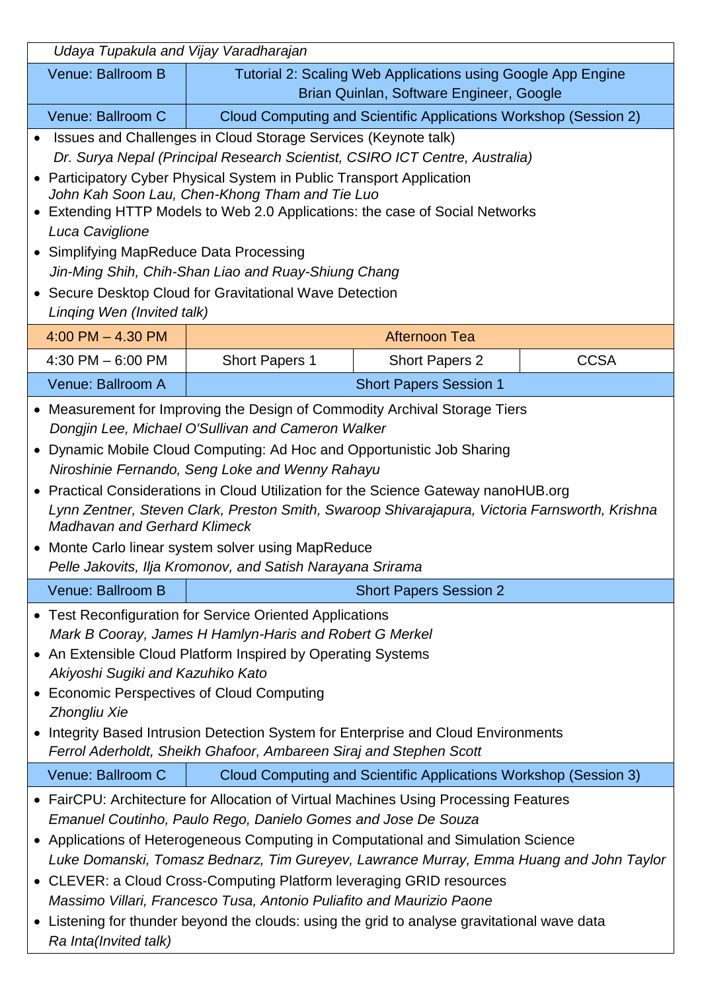| Udaya Tupakula and Vijay Varadharajan                                                                                                                                                                                                                                                                                                                                                                                                                                                                                                                                                                                                      |                                                              |                                                                  |             |
|--------------------------------------------------------------------------------------------------------------------------------------------------------------------------------------------------------------------------------------------------------------------------------------------------------------------------------------------------------------------------------------------------------------------------------------------------------------------------------------------------------------------------------------------------------------------------------------------------------------------------------------------|--------------------------------------------------------------|------------------------------------------------------------------|-------------|
| Venue: Ballroom B                                                                                                                                                                                                                                                                                                                                                                                                                                                                                                                                                                                                                          | Tutorial 2: Scaling Web Applications using Google App Engine |                                                                  |             |
|                                                                                                                                                                                                                                                                                                                                                                                                                                                                                                                                                                                                                                            |                                                              | Brian Quinlan, Software Engineer, Google                         |             |
| Venue: Ballroom C                                                                                                                                                                                                                                                                                                                                                                                                                                                                                                                                                                                                                          |                                                              |                                                                  |             |
| Cloud Computing and Scientific Applications Workshop (Session 2)<br>Issues and Challenges in Cloud Storage Services (Keynote talk)<br>Dr. Surya Nepal (Principal Research Scientist, CSIRO ICT Centre, Australia)<br>• Participatory Cyber Physical System in Public Transport Application<br>John Kah Soon Lau, Chen-Khong Tham and Tie Luo<br>• Extending HTTP Models to Web 2.0 Applications: the case of Social Networks<br>Luca Caviglione<br>• Simplifying MapReduce Data Processing<br>Jin-Ming Shih, Chih-Shan Liao and Ruay-Shiung Chang<br>• Secure Desktop Cloud for Gravitational Wave Detection<br>Linging Wen (Invited talk) |                                                              |                                                                  |             |
| $4:00$ PM $- 4:30$ PM                                                                                                                                                                                                                                                                                                                                                                                                                                                                                                                                                                                                                      |                                                              | <b>Afternoon Tea</b>                                             |             |
| $4:30$ PM $-6:00$ PM                                                                                                                                                                                                                                                                                                                                                                                                                                                                                                                                                                                                                       | <b>Short Papers 1</b>                                        | <b>Short Papers 2</b>                                            | <b>CCSA</b> |
| Venue: Ballroom A                                                                                                                                                                                                                                                                                                                                                                                                                                                                                                                                                                                                                          |                                                              | <b>Short Papers Session 1</b>                                    |             |
| • Measurement for Improving the Design of Commodity Archival Storage Tiers<br>Dongjin Lee, Michael O'Sullivan and Cameron Walker<br>• Dynamic Mobile Cloud Computing: Ad Hoc and Opportunistic Job Sharing<br>Niroshinie Fernando, Seng Loke and Wenny Rahayu<br>• Practical Considerations in Cloud Utilization for the Science Gateway nanoHUB.org<br>Lynn Zentner, Steven Clark, Preston Smith, Swaroop Shivarajapura, Victoria Farnsworth, Krishna<br><b>Madhavan and Gerhard Klimeck</b><br>• Monte Carlo linear system solver using MapReduce<br>Pelle Jakovits, Ilja Kromonov, and Satish Narayana Srirama                          |                                                              |                                                                  |             |
| Venue: Ballroom B                                                                                                                                                                                                                                                                                                                                                                                                                                                                                                                                                                                                                          |                                                              | <b>Short Papers Session 2</b>                                    |             |
| • Test Reconfiguration for Service Oriented Applications<br>Mark B Cooray, James H Hamlyn-Haris and Robert G Merkel<br>• An Extensible Cloud Platform Inspired by Operating Systems<br>Akiyoshi Sugiki and Kazuhiko Kato<br>• Economic Perspectives of Cloud Computing<br>Zhongliu Xie<br>• Integrity Based Intrusion Detection System for Enterprise and Cloud Environments<br>Ferrol Aderholdt, Sheikh Ghafoor, Ambareen Siraj and Stephen Scott                                                                                                                                                                                         |                                                              |                                                                  |             |
| Venue: Ballroom C                                                                                                                                                                                                                                                                                                                                                                                                                                                                                                                                                                                                                          |                                                              | Cloud Computing and Scientific Applications Workshop (Session 3) |             |
| • FairCPU: Architecture for Allocation of Virtual Machines Using Processing Features<br>Emanuel Coutinho, Paulo Rego, Danielo Gomes and Jose De Souza<br>• Applications of Heterogeneous Computing in Computational and Simulation Science<br>Luke Domanski, Tomasz Bednarz, Tim Gureyev, Lawrance Murray, Emma Huang and John Taylor<br>• CLEVER: a Cloud Cross-Computing Platform leveraging GRID resources<br>Massimo Villari, Francesco Tusa, Antonio Puliafito and Maurizio Paone                                                                                                                                                     |                                                              |                                                                  |             |
| • Listening for thunder beyond the clouds: using the grid to analyse gravitational wave data<br>Ra Inta(Invited talk)                                                                                                                                                                                                                                                                                                                                                                                                                                                                                                                      |                                                              |                                                                  |             |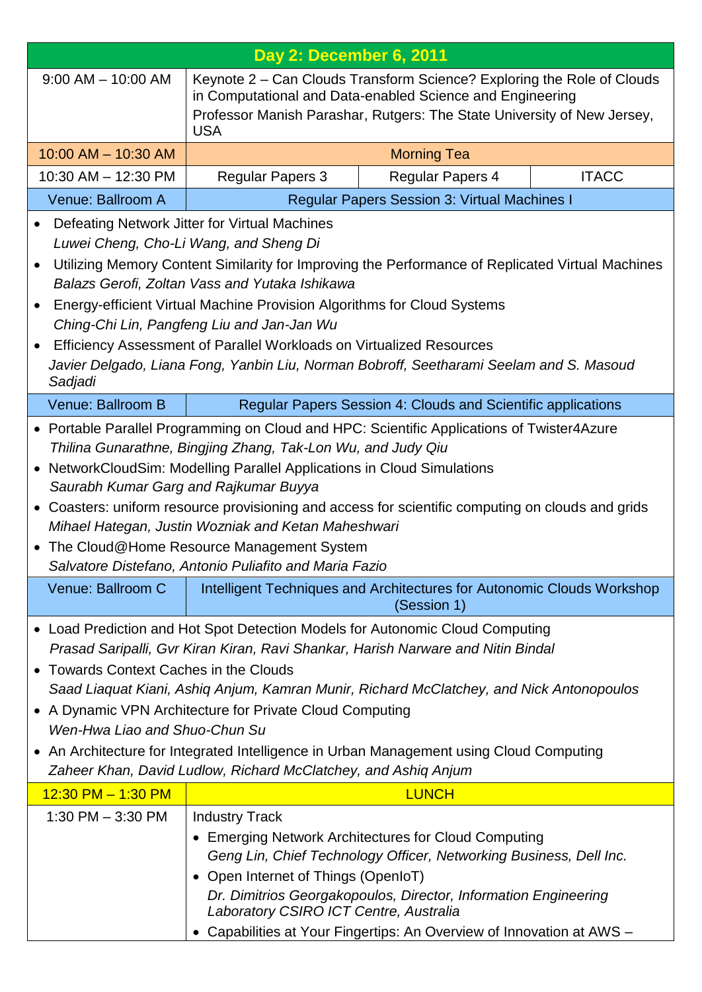| <b>Day 2: December 6, 2011</b>                                                                                                                                                                                                                                                                                                                                                                                                                                                                                                                                                 |                                                                                                        |                                                                                                                                                                                                                                                                        |              |
|--------------------------------------------------------------------------------------------------------------------------------------------------------------------------------------------------------------------------------------------------------------------------------------------------------------------------------------------------------------------------------------------------------------------------------------------------------------------------------------------------------------------------------------------------------------------------------|--------------------------------------------------------------------------------------------------------|------------------------------------------------------------------------------------------------------------------------------------------------------------------------------------------------------------------------------------------------------------------------|--------------|
| $9:00$ AM $-$ 10:00 AM<br>Keynote 2 – Can Clouds Transform Science? Exploring the Role of Clouds<br>in Computational and Data-enabled Science and Engineering<br>Professor Manish Parashar, Rutgers: The State University of New Jersey,<br><b>USA</b>                                                                                                                                                                                                                                                                                                                         |                                                                                                        |                                                                                                                                                                                                                                                                        |              |
| 10:00 AM - 10:30 AM<br><b>Morning Tea</b>                                                                                                                                                                                                                                                                                                                                                                                                                                                                                                                                      |                                                                                                        |                                                                                                                                                                                                                                                                        |              |
| 10:30 AM - 12:30 PM                                                                                                                                                                                                                                                                                                                                                                                                                                                                                                                                                            | <b>Regular Papers 3</b>                                                                                | Regular Papers 4                                                                                                                                                                                                                                                       | <b>ITACC</b> |
| Venue: Ballroom A                                                                                                                                                                                                                                                                                                                                                                                                                                                                                                                                                              |                                                                                                        | <b>Regular Papers Session 3: Virtual Machines I</b>                                                                                                                                                                                                                    |              |
| Defeating Network Jitter for Virtual Machines<br>Luwei Cheng, Cho-Li Wang, and Sheng Di<br>Utilizing Memory Content Similarity for Improving the Performance of Replicated Virtual Machines<br>$\bullet$<br>Balazs Gerofi, Zoltan Vass and Yutaka Ishikawa<br>Energy-efficient Virtual Machine Provision Algorithms for Cloud Systems<br>$\bullet$<br>Ching-Chi Lin, Pangfeng Liu and Jan-Jan Wu<br>Efficiency Assessment of Parallel Workloads on Virtualized Resources<br>Javier Delgado, Liana Fong, Yanbin Liu, Norman Bobroff, Seetharami Seelam and S. Masoud<br>Sadjadi |                                                                                                        |                                                                                                                                                                                                                                                                        |              |
| Venue: Ballroom B                                                                                                                                                                                                                                                                                                                                                                                                                                                                                                                                                              |                                                                                                        | Regular Papers Session 4: Clouds and Scientific applications                                                                                                                                                                                                           |              |
| • Portable Parallel Programming on Cloud and HPC: Scientific Applications of Twister4Azure<br>Thilina Gunarathne, Bingjing Zhang, Tak-Lon Wu, and Judy Qiu<br>• NetworkCloudSim: Modelling Parallel Applications in Cloud Simulations<br>Saurabh Kumar Garg and Rajkumar Buyya<br>• Coasters: uniform resource provisioning and access for scientific computing on clouds and grids<br>Mihael Hategan, Justin Wozniak and Ketan Maheshwari<br>• The Cloud@Home Resource Management System<br>Salvatore Distefano, Antonio Puliafito and Maria Fazio                            |                                                                                                        |                                                                                                                                                                                                                                                                        |              |
| Venue: Ballroom C                                                                                                                                                                                                                                                                                                                                                                                                                                                                                                                                                              |                                                                                                        | Intelligent Techniques and Architectures for Autonomic Clouds Workshop<br>(Session 1)                                                                                                                                                                                  |              |
| • Load Prediction and Hot Spot Detection Models for Autonomic Cloud Computing<br>Prasad Saripalli, Gvr Kiran Kiran, Ravi Shankar, Harish Narware and Nitin Bindal<br>• Towards Context Caches in the Clouds<br>Saad Liaquat Kiani, Ashiq Anjum, Kamran Munir, Richard McClatchey, and Nick Antonopoulos<br>• A Dynamic VPN Architecture for Private Cloud Computing<br>Wen-Hwa Liao and Shuo-Chun Su<br>• An Architecture for Integrated Intelligence in Urban Management using Cloud Computing<br>Zaheer Khan, David Ludlow, Richard McClatchey, and Ashiq Anjum              |                                                                                                        |                                                                                                                                                                                                                                                                        |              |
| $12:30$ PM $- 1:30$ PM                                                                                                                                                                                                                                                                                                                                                                                                                                                                                                                                                         |                                                                                                        | <b>LUNCH</b>                                                                                                                                                                                                                                                           |              |
| 1:30 PM $-$ 3:30 PM                                                                                                                                                                                                                                                                                                                                                                                                                                                                                                                                                            | <b>Industry Track</b><br>• Open Internet of Things (OpenIoT)<br>Laboratory CSIRO ICT Centre, Australia | • Emerging Network Architectures for Cloud Computing<br>Geng Lin, Chief Technology Officer, Networking Business, Dell Inc.<br>Dr. Dimitrios Georgakopoulos, Director, Information Engineering<br>• Capabilities at Your Fingertips: An Overview of Innovation at AWS - |              |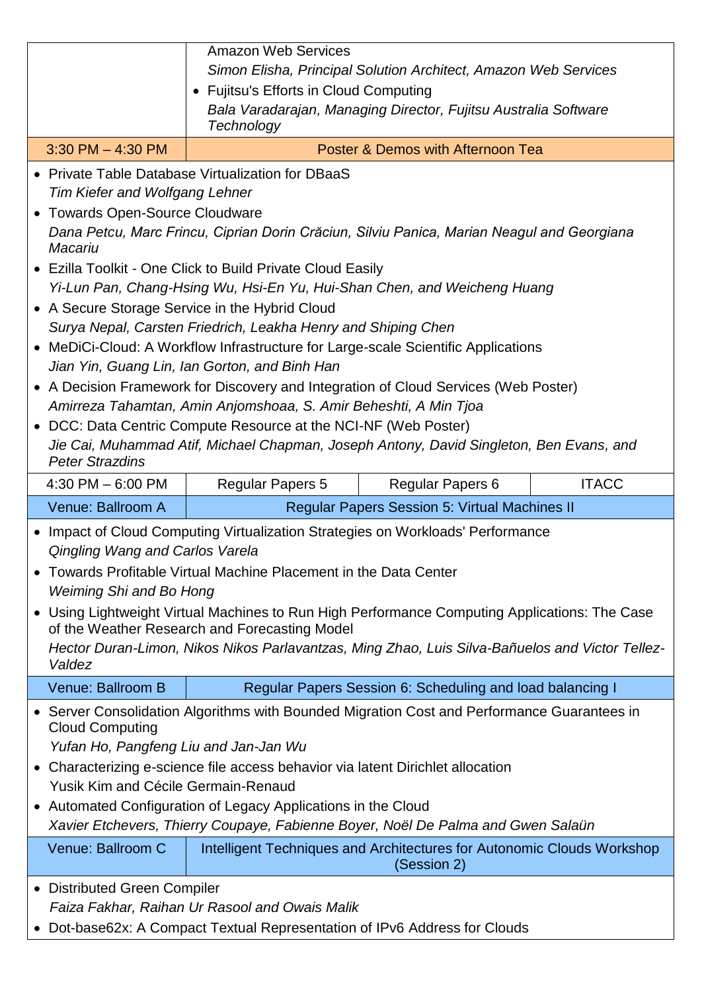|                        |                                                                                                                                                                                                                                                                                                                                                                                                                                                                                                                                                                                                                                                                                                                                                                                                                                                                                                                                                                                                 | <b>Amazon Web Services</b><br>Simon Elisha, Principal Solution Architect, Amazon Web Services<br>• Fujitsu's Efforts in Cloud Computing<br>Bala Varadarajan, Managing Director, Fujitsu Australia Software<br>Technology |  |
|------------------------|-------------------------------------------------------------------------------------------------------------------------------------------------------------------------------------------------------------------------------------------------------------------------------------------------------------------------------------------------------------------------------------------------------------------------------------------------------------------------------------------------------------------------------------------------------------------------------------------------------------------------------------------------------------------------------------------------------------------------------------------------------------------------------------------------------------------------------------------------------------------------------------------------------------------------------------------------------------------------------------------------|--------------------------------------------------------------------------------------------------------------------------------------------------------------------------------------------------------------------------|--|
|                        | $3:30$ PM $-$ 4:30 PM                                                                                                                                                                                                                                                                                                                                                                                                                                                                                                                                                                                                                                                                                                                                                                                                                                                                                                                                                                           | Poster & Demos with Afternoon Tea                                                                                                                                                                                        |  |
| $\bullet$<br>$\bullet$ | • Private Table Database Virtualization for DBaaS<br><b>Tim Kiefer and Wolfgang Lehner</b><br><b>Towards Open-Source Cloudware</b><br>Dana Petcu, Marc Frincu, Ciprian Dorin Crăciun, Silviu Panica, Marian Neagul and Georgiana<br>Macariu<br>• Ezilla Toolkit - One Click to Build Private Cloud Easily<br>Yi-Lun Pan, Chang-Hsing Wu, Hsi-En Yu, Hui-Shan Chen, and Weicheng Huang<br>• A Secure Storage Service in the Hybrid Cloud<br>Surya Nepal, Carsten Friedrich, Leakha Henry and Shiping Chen<br>• MeDiCi-Cloud: A Workflow Infrastructure for Large-scale Scientific Applications<br>Jian Yin, Guang Lin, Ian Gorton, and Binh Han<br>• A Decision Framework for Discovery and Integration of Cloud Services (Web Poster)<br>Amirreza Tahamtan, Amin Anjomshoaa, S. Amir Beheshti, A Min Tjoa<br>DCC: Data Centric Compute Resource at the NCI-NF (Web Poster)<br>Jie Cai, Muhammad Atif, Michael Chapman, Joseph Antony, David Singleton, Ben Evans, and<br><b>Peter Strazdins</b> |                                                                                                                                                                                                                          |  |
|                        | $4:30$ PM $-6:00$ PM                                                                                                                                                                                                                                                                                                                                                                                                                                                                                                                                                                                                                                                                                                                                                                                                                                                                                                                                                                            | <b>ITACC</b><br><b>Regular Papers 5</b><br><b>Regular Papers 6</b>                                                                                                                                                       |  |
|                        | Venue: Ballroom A                                                                                                                                                                                                                                                                                                                                                                                                                                                                                                                                                                                                                                                                                                                                                                                                                                                                                                                                                                               | <b>Regular Papers Session 5: Virtual Machines II</b>                                                                                                                                                                     |  |
|                        | • Impact of Cloud Computing Virtualization Strategies on Workloads' Performance<br>Qingling Wang and Carlos Varela<br>Towards Profitable Virtual Machine Placement in the Data Center<br>Weiming Shi and Bo Hong<br>• Using Lightweight Virtual Machines to Run High Performance Computing Applications: The Case<br>of the Weather Research and Forecasting Model<br>Hector Duran-Limon, Nikos Nikos Parlavantzas, Ming Zhao, Luis Silva-Bañuelos and Victor Tellez-<br>Valdez                                                                                                                                                                                                                                                                                                                                                                                                                                                                                                                 |                                                                                                                                                                                                                          |  |
|                        | Venue: Ballroom B                                                                                                                                                                                                                                                                                                                                                                                                                                                                                                                                                                                                                                                                                                                                                                                                                                                                                                                                                                               | Regular Papers Session 6: Scheduling and load balancing I                                                                                                                                                                |  |
|                        | • Server Consolidation Algorithms with Bounded Migration Cost and Performance Guarantees in<br><b>Cloud Computing</b><br>Yufan Ho, Pangfeng Liu and Jan-Jan Wu<br>• Characterizing e-science file access behavior via latent Dirichlet allocation<br>Yusik Kim and Cécile Germain-Renaud<br>• Automated Configuration of Legacy Applications in the Cloud<br>Xavier Etchevers, Thierry Coupaye, Fabienne Boyer, Noël De Palma and Gwen Salaün<br>Venue: Ballroom C<br>Intelligent Techniques and Architectures for Autonomic Clouds Workshop                                                                                                                                                                                                                                                                                                                                                                                                                                                    |                                                                                                                                                                                                                          |  |
|                        |                                                                                                                                                                                                                                                                                                                                                                                                                                                                                                                                                                                                                                                                                                                                                                                                                                                                                                                                                                                                 | (Session 2)                                                                                                                                                                                                              |  |
|                        | • Distributed Green Compiler                                                                                                                                                                                                                                                                                                                                                                                                                                                                                                                                                                                                                                                                                                                                                                                                                                                                                                                                                                    | Faiza Fakhar, Raihan Ur Rasool and Owais Malik<br>• Dot-base62x: A Compact Textual Representation of IPv6 Address for Clouds                                                                                             |  |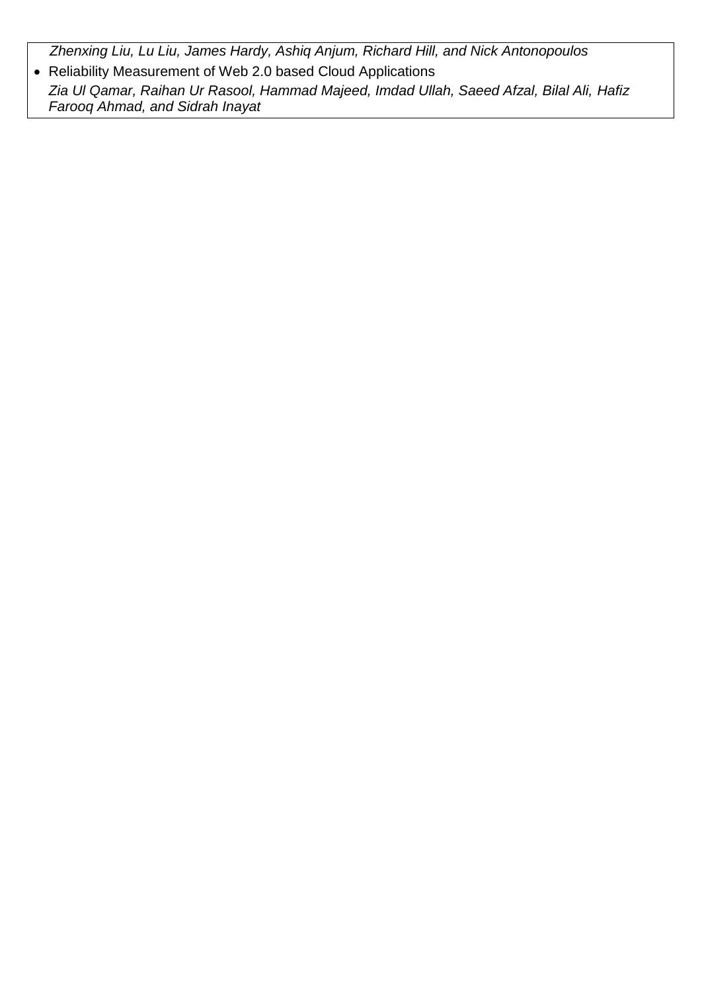*Zhenxing Liu, Lu Liu, James Hardy, Ashiq Anjum, Richard Hill, and Nick Antonopoulos*

 Reliability Measurement of Web 2.0 based Cloud Applications *Zia Ul Qamar, Raihan Ur Rasool, Hammad Majeed, Imdad Ullah, Saeed Afzal, Bilal Ali, Hafiz Farooq Ahmad, and Sidrah Inayat*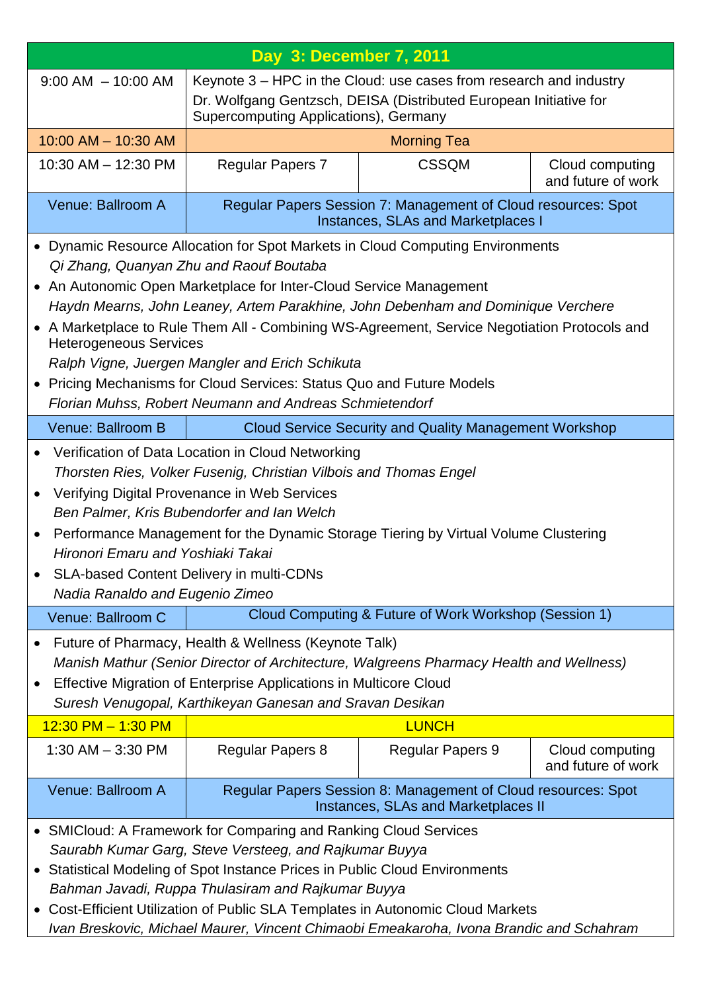| Day 3: December 7, 2011                                                                                                                                                                                                                                                                                                                                                                                                                                                                                                                                                                                     |                                                                                                                                                                                  |                                                                                                            |                                       |
|-------------------------------------------------------------------------------------------------------------------------------------------------------------------------------------------------------------------------------------------------------------------------------------------------------------------------------------------------------------------------------------------------------------------------------------------------------------------------------------------------------------------------------------------------------------------------------------------------------------|----------------------------------------------------------------------------------------------------------------------------------------------------------------------------------|------------------------------------------------------------------------------------------------------------|---------------------------------------|
| $9:00$ AM $-10:00$ AM                                                                                                                                                                                                                                                                                                                                                                                                                                                                                                                                                                                       | Keynote 3 – HPC in the Cloud: use cases from research and industry<br>Dr. Wolfgang Gentzsch, DEISA (Distributed European Initiative for<br>Supercomputing Applications), Germany |                                                                                                            |                                       |
| $10:00$ AM $- 10:30$ AM                                                                                                                                                                                                                                                                                                                                                                                                                                                                                                                                                                                     | <b>Morning Tea</b>                                                                                                                                                               |                                                                                                            |                                       |
| 10:30 AM - 12:30 PM                                                                                                                                                                                                                                                                                                                                                                                                                                                                                                                                                                                         | <b>Regular Papers 7</b><br><b>CSSQM</b><br>Cloud computing<br>and future of work                                                                                                 |                                                                                                            |                                       |
| Venue: Ballroom A                                                                                                                                                                                                                                                                                                                                                                                                                                                                                                                                                                                           |                                                                                                                                                                                  | Regular Papers Session 7: Management of Cloud resources: Spot<br><b>Instances, SLAs and Marketplaces I</b> |                                       |
| • Dynamic Resource Allocation for Spot Markets in Cloud Computing Environments<br>Qi Zhang, Quanyan Zhu and Raouf Boutaba<br>• An Autonomic Open Marketplace for Inter-Cloud Service Management<br>Haydn Mearns, John Leaney, Artem Parakhine, John Debenham and Dominique Verchere<br>• A Marketplace to Rule Them All - Combining WS-Agreement, Service Negotiation Protocols and<br><b>Heterogeneous Services</b><br>Ralph Vigne, Juergen Mangler and Erich Schikuta<br>• Pricing Mechanisms for Cloud Services: Status Quo and Future Models<br>Florian Muhss, Robert Neumann and Andreas Schmietendorf |                                                                                                                                                                                  |                                                                                                            |                                       |
| Venue: Ballroom B                                                                                                                                                                                                                                                                                                                                                                                                                                                                                                                                                                                           |                                                                                                                                                                                  | <b>Cloud Service Security and Quality Management Workshop</b>                                              |                                       |
| Verification of Data Location in Cloud Networking<br>Thorsten Ries, Volker Fusenig, Christian Vilbois and Thomas Engel<br>Verifying Digital Provenance in Web Services<br>Ben Palmer, Kris Bubendorfer and Ian Welch<br>Performance Management for the Dynamic Storage Tiering by Virtual Volume Clustering<br>Hironori Emaru and Yoshiaki Takai<br><b>SLA-based Content Delivery in multi-CDNs</b><br>Nadia Ranaldo and Eugenio Zimeo                                                                                                                                                                      |                                                                                                                                                                                  |                                                                                                            |                                       |
| Venue: Ballroom C                                                                                                                                                                                                                                                                                                                                                                                                                                                                                                                                                                                           |                                                                                                                                                                                  | Cloud Computing & Future of Work Workshop (Session 1)                                                      |                                       |
| Future of Pharmacy, Health & Wellness (Keynote Talk)<br>Manish Mathur (Senior Director of Architecture, Walgreens Pharmacy Health and Wellness)<br>Effective Migration of Enterprise Applications in Multicore Cloud<br>Suresh Venugopal, Karthikeyan Ganesan and Sravan Desikan                                                                                                                                                                                                                                                                                                                            |                                                                                                                                                                                  |                                                                                                            |                                       |
| $12:30$ PM $-1:30$ PM                                                                                                                                                                                                                                                                                                                                                                                                                                                                                                                                                                                       |                                                                                                                                                                                  | <b>LUNCH</b>                                                                                               |                                       |
| 1:30 AM $-$ 3:30 PM                                                                                                                                                                                                                                                                                                                                                                                                                                                                                                                                                                                         | <b>Regular Papers 8</b>                                                                                                                                                          | <b>Regular Papers 9</b>                                                                                    | Cloud computing<br>and future of work |
| Venue: Ballroom A                                                                                                                                                                                                                                                                                                                                                                                                                                                                                                                                                                                           |                                                                                                                                                                                  | Regular Papers Session 8: Management of Cloud resources: Spot<br>Instances, SLAs and Marketplaces II       |                                       |
| • SMICloud: A Framework for Comparing and Ranking Cloud Services<br>Saurabh Kumar Garg, Steve Versteeg, and Rajkumar Buyya<br>Statistical Modeling of Spot Instance Prices in Public Cloud Environments<br>$\bullet$<br>Bahman Javadi, Ruppa Thulasiram and Rajkumar Buyya<br>Cost-Efficient Utilization of Public SLA Templates in Autonomic Cloud Markets<br>$\bullet$<br>Ivan Breskovic, Michael Maurer, Vincent Chimaobi Emeakaroha, Ivona Brandic and Schahram                                                                                                                                         |                                                                                                                                                                                  |                                                                                                            |                                       |